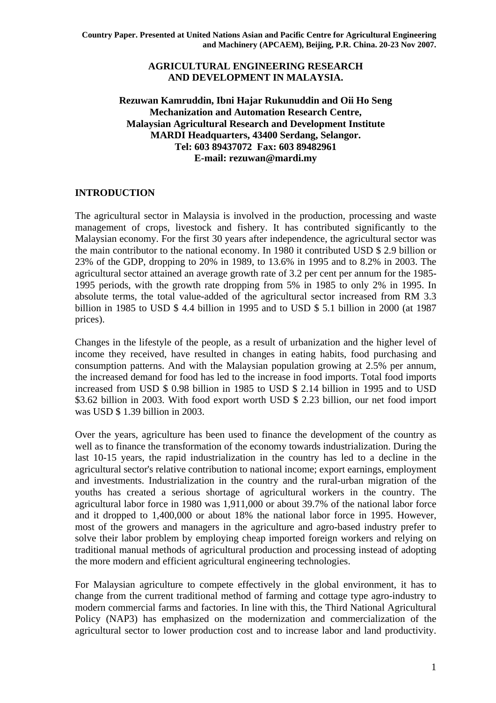## **AGRICULTURAL ENGINEERING RESEARCH AND DEVELOPMENT IN MALAYSIA.**

## **Rezuwan Kamruddin, Ibni Hajar Rukunuddin and Oii Ho Seng Mechanization and Automation Research Centre, Malaysian Agricultural Research and Development Institute MARDI Headquarters, 43400 Serdang, Selangor. Tel: 603 89437072 Fax: 603 89482961 E-mail: rezuwan@mardi.my**

## **INTRODUCTION**

The agricultural sector in Malaysia is involved in the production, processing and waste management of crops, livestock and fishery. It has contributed significantly to the Malaysian economy. For the first 30 years after independence, the agricultural sector was the main contributor to the national economy. In 1980 it contributed USD \$ 2.9 billion or 23% of the GDP, dropping to 20% in 1989, to 13.6% in 1995 and to 8.2% in 2003. The agricultural sector attained an average growth rate of 3.2 per cent per annum for the 1985- 1995 periods, with the growth rate dropping from 5% in 1985 to only 2% in 1995. In absolute terms, the total value-added of the agricultural sector increased from RM 3.3 billion in 1985 to USD \$ 4.4 billion in 1995 and to USD \$ 5.1 billion in 2000 (at 1987 prices).

Changes in the lifestyle of the people, as a result of urbanization and the higher level of income they received, have resulted in changes in eating habits, food purchasing and consumption patterns. And with the Malaysian population growing at 2.5% per annum, the increased demand for food has led to the increase in food imports. Total food imports increased from USD \$ 0.98 billion in 1985 to USD \$ 2.14 billion in 1995 and to USD \$3.62 billion in 2003. With food export worth USD \$ 2.23 billion, our net food import was USD \$ 1.39 billion in 2003.

Over the years, agriculture has been used to finance the development of the country as well as to finance the transformation of the economy towards industrialization. During the last 10-15 years, the rapid industrialization in the country has led to a decline in the agricultural sector's relative contribution to national income; export earnings, employment and investments. Industrialization in the country and the rural-urban migration of the youths has created a serious shortage of agricultural workers in the country. The agricultural labor force in 1980 was 1,911,000 or about 39.7% of the national labor force and it dropped to 1,400,000 or about 18% the national labor force in 1995. However, most of the growers and managers in the agriculture and agro-based industry prefer to solve their labor problem by employing cheap imported foreign workers and relying on traditional manual methods of agricultural production and processing instead of adopting the more modern and efficient agricultural engineering technologies.

For Malaysian agriculture to compete effectively in the global environment, it has to change from the current traditional method of farming and cottage type agro-industry to modern commercial farms and factories. In line with this, the Third National Agricultural Policy (NAP3) has emphasized on the modernization and commercialization of the agricultural sector to lower production cost and to increase labor and land productivity.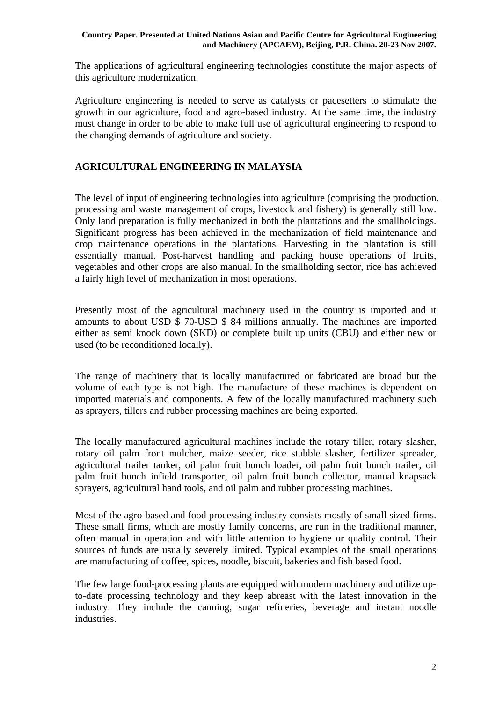The applications of agricultural engineering technologies constitute the major aspects of this agriculture modernization.

Agriculture engineering is needed to serve as catalysts or pacesetters to stimulate the growth in our agriculture, food and agro-based industry. At the same time, the industry must change in order to be able to make full use of agricultural engineering to respond to the changing demands of agriculture and society.

# **AGRICULTURAL ENGINEERING IN MALAYSIA**

The level of input of engineering technologies into agriculture (comprising the production, processing and waste management of crops, livestock and fishery) is generally still low. Only land preparation is fully mechanized in both the plantations and the smallholdings. Significant progress has been achieved in the mechanization of field maintenance and crop maintenance operations in the plantations. Harvesting in the plantation is still essentially manual. Post-harvest handling and packing house operations of fruits, vegetables and other crops are also manual. In the smallholding sector, rice has achieved a fairly high level of mechanization in most operations.

Presently most of the agricultural machinery used in the country is imported and it amounts to about USD \$ 70-USD \$ 84 millions annually. The machines are imported either as semi knock down (SKD) or complete built up units (CBU) and either new or used (to be reconditioned locally).

The range of machinery that is locally manufactured or fabricated are broad but the volume of each type is not high. The manufacture of these machines is dependent on imported materials and components. A few of the locally manufactured machinery such as sprayers, tillers and rubber processing machines are being exported.

The locally manufactured agricultural machines include the rotary tiller, rotary slasher, rotary oil palm front mulcher, maize seeder, rice stubble slasher, fertilizer spreader, agricultural trailer tanker, oil palm fruit bunch loader, oil palm fruit bunch trailer, oil palm fruit bunch infield transporter, oil palm fruit bunch collector, manual knapsack sprayers, agricultural hand tools, and oil palm and rubber processing machines.

Most of the agro-based and food processing industry consists mostly of small sized firms. These small firms, which are mostly family concerns, are run in the traditional manner, often manual in operation and with little attention to hygiene or quality control. Their sources of funds are usually severely limited. Typical examples of the small operations are manufacturing of coffee, spices, noodle, biscuit, bakeries and fish based food.

The few large food-processing plants are equipped with modern machinery and utilize upto-date processing technology and they keep abreast with the latest innovation in the industry. They include the canning, sugar refineries, beverage and instant noodle industries.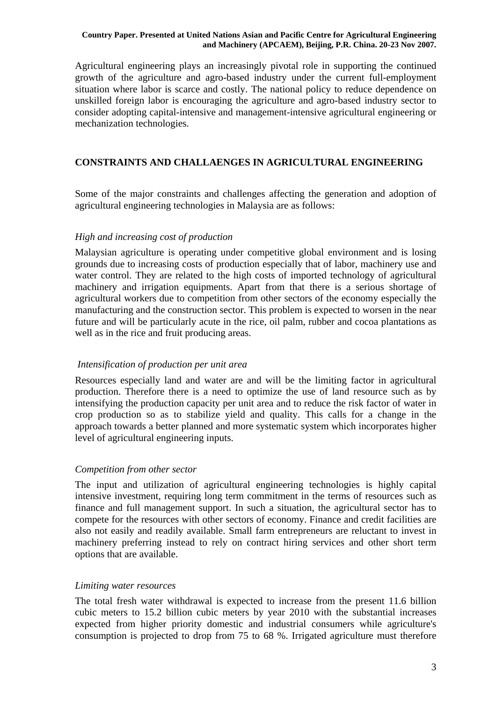Agricultural engineering plays an increasingly pivotal role in supporting the continued growth of the agriculture and agro-based industry under the current full-employment situation where labor is scarce and costly. The national policy to reduce dependence on unskilled foreign labor is encouraging the agriculture and agro-based industry sector to consider adopting capital-intensive and management-intensive agricultural engineering or mechanization technologies.

## **CONSTRAINTS AND CHALLAENGES IN AGRICULTURAL ENGINEERING**

Some of the major constraints and challenges affecting the generation and adoption of agricultural engineering technologies in Malaysia are as follows:

### *High and increasing cost of production*

Malaysian agriculture is operating under competitive global environment and is losing grounds due to increasing costs of production especially that of labor, machinery use and water control. They are related to the high costs of imported technology of agricultural machinery and irrigation equipments. Apart from that there is a serious shortage of agricultural workers due to competition from other sectors of the economy especially the manufacturing and the construction sector. This problem is expected to worsen in the near future and will be particularly acute in the rice, oil palm, rubber and cocoa plantations as well as in the rice and fruit producing areas.

### *Intensification of production per unit area*

Resources especially land and water are and will be the limiting factor in agricultural production. Therefore there is a need to optimize the use of land resource such as by intensifying the production capacity per unit area and to reduce the risk factor of water in crop production so as to stabilize yield and quality. This calls for a change in the approach towards a better planned and more systematic system which incorporates higher level of agricultural engineering inputs.

### *Competition from other sector*

The input and utilization of agricultural engineering technologies is highly capital intensive investment, requiring long term commitment in the terms of resources such as finance and full management support. In such a situation, the agricultural sector has to compete for the resources with other sectors of economy. Finance and credit facilities are also not easily and readily available. Small farm entrepreneurs are reluctant to invest in machinery preferring instead to rely on contract hiring services and other short term options that are available.

### *Limiting water resources*

The total fresh water withdrawal is expected to increase from the present 11.6 billion cubic meters to 15.2 billion cubic meters by year 2010 with the substantial increases expected from higher priority domestic and industrial consumers while agriculture's consumption is projected to drop from 75 to 68 %. Irrigated agriculture must therefore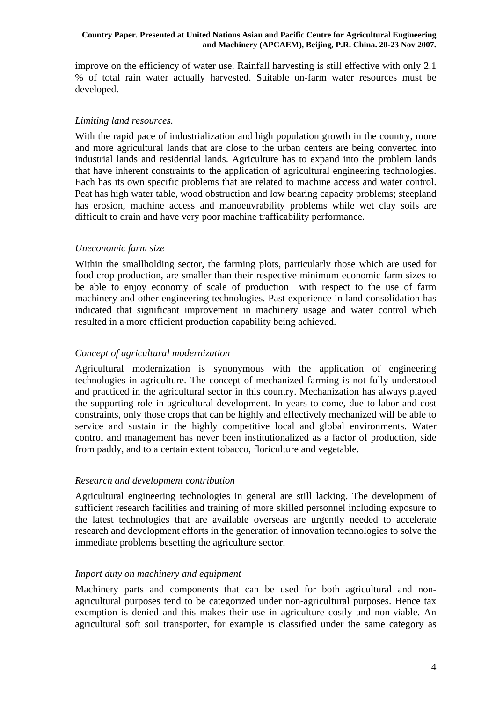improve on the efficiency of water use. Rainfall harvesting is still effective with only 2.1 % of total rain water actually harvested. Suitable on-farm water resources must be developed.

### *Limiting land resources.*

With the rapid pace of industrialization and high population growth in the country, more and more agricultural lands that are close to the urban centers are being converted into industrial lands and residential lands. Agriculture has to expand into the problem lands that have inherent constraints to the application of agricultural engineering technologies. Each has its own specific problems that are related to machine access and water control. Peat has high water table, wood obstruction and low bearing capacity problems; steepland has erosion, machine access and manoeuvrability problems while wet clay soils are difficult to drain and have very poor machine trafficability performance.

### *Uneconomic farm size*

Within the smallholding sector, the farming plots, particularly those which are used for food crop production, are smaller than their respective minimum economic farm sizes to be able to enjoy economy of scale of production with respect to the use of farm machinery and other engineering technologies. Past experience in land consolidation has indicated that significant improvement in machinery usage and water control which resulted in a more efficient production capability being achieved.

## *Concept of agricultural modernization*

Agricultural modernization is synonymous with the application of engineering technologies in agriculture. The concept of mechanized farming is not fully understood and practiced in the agricultural sector in this country. Mechanization has always played the supporting role in agricultural development. In years to come, due to labor and cost constraints, only those crops that can be highly and effectively mechanized will be able to service and sustain in the highly competitive local and global environments. Water control and management has never been institutionalized as a factor of production, side from paddy, and to a certain extent tobacco, floriculture and vegetable.

### *Research and development contribution*

Agricultural engineering technologies in general are still lacking. The development of sufficient research facilities and training of more skilled personnel including exposure to the latest technologies that are available overseas are urgently needed to accelerate research and development efforts in the generation of innovation technologies to solve the immediate problems besetting the agriculture sector.

### *Import duty on machinery and equipment*

Machinery parts and components that can be used for both agricultural and nonagricultural purposes tend to be categorized under non-agricultural purposes. Hence tax exemption is denied and this makes their use in agriculture costly and non-viable. An agricultural soft soil transporter, for example is classified under the same category as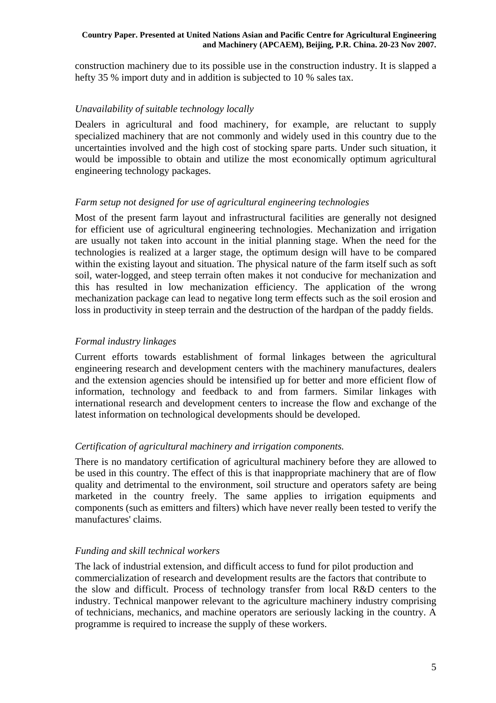construction machinery due to its possible use in the construction industry. It is slapped a hefty 35 % import duty and in addition is subjected to 10 % sales tax.

## *Unavailability of suitable technology locally*

Dealers in agricultural and food machinery, for example, are reluctant to supply specialized machinery that are not commonly and widely used in this country due to the uncertainties involved and the high cost of stocking spare parts. Under such situation, it would be impossible to obtain and utilize the most economically optimum agricultural engineering technology packages.

#### *Farm setup not designed for use of agricultural engineering technologies*

Most of the present farm layout and infrastructural facilities are generally not designed for efficient use of agricultural engineering technologies. Mechanization and irrigation are usually not taken into account in the initial planning stage. When the need for the technologies is realized at a larger stage, the optimum design will have to be compared within the existing layout and situation. The physical nature of the farm itself such as soft soil, water-logged, and steep terrain often makes it not conducive for mechanization and this has resulted in low mechanization efficiency. The application of the wrong mechanization package can lead to negative long term effects such as the soil erosion and loss in productivity in steep terrain and the destruction of the hardpan of the paddy fields.

### *Formal industry linkages*

Current efforts towards establishment of formal linkages between the agricultural engineering research and development centers with the machinery manufactures, dealers and the extension agencies should be intensified up for better and more efficient flow of information, technology and feedback to and from farmers. Similar linkages with international research and development centers to increase the flow and exchange of the latest information on technological developments should be developed.

#### *Certification of agricultural machinery and irrigation components.*

There is no mandatory certification of agricultural machinery before they are allowed to be used in this country. The effect of this is that inappropriate machinery that are of flow quality and detrimental to the environment, soil structure and operators safety are being marketed in the country freely. The same applies to irrigation equipments and components (such as emitters and filters) which have never really been tested to verify the manufactures' claims.

#### *Funding and skill technical workers*

The lack of industrial extension, and difficult access to fund for pilot production and commercialization of research and development results are the factors that contribute to the slow and difficult. Process of technology transfer from local R&D centers to the industry. Technical manpower relevant to the agriculture machinery industry comprising of technicians, mechanics, and machine operators are seriously lacking in the country. A programme is required to increase the supply of these workers.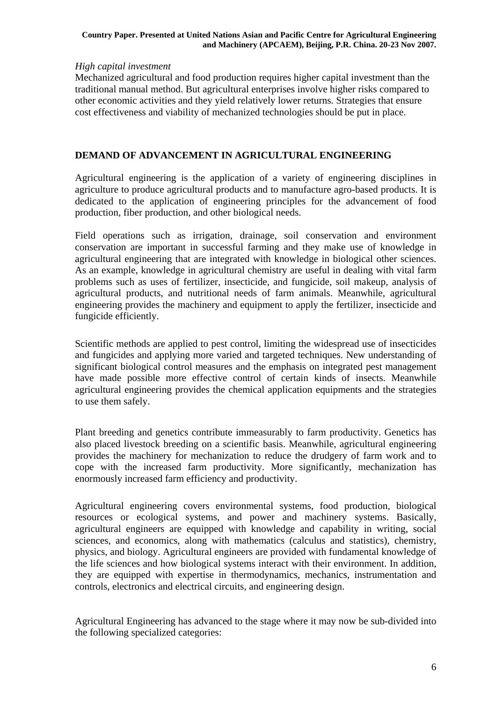### *High capital investment*

Mechanized agricultural and food production requires higher capital investment than the traditional manual method. But agricultural enterprises involve higher risks compared to other economic activities and they yield relatively lower returns. Strategies that ensure cost effectiveness and viability of mechanized technologies should be put in place.

## **DEMAND OF ADVANCEMENT IN AGRICULTURAL ENGINEERING**

Agricultural engineering is the application of a variety of engineering disciplines in agriculture to produce agricultural products and to manufacture agro-based products. It is dedicated to the application of engineering principles for the advancement of food production, fiber production, and other biological needs.

Field operations such as irrigation, drainage, soil conservation and environment conservation are important in successful farming and they make use of knowledge in agricultural engineering that are integrated with knowledge in biological other sciences. As an example, knowledge in agricultural chemistry are useful in dealing with vital farm problems such as uses of fertilizer, insecticide, and fungicide, soil makeup, analysis of agricultural products, and nutritional needs of farm animals. Meanwhile, agricultural engineering provides the machinery and equipment to apply the fertilizer, insecticide and fungicide efficiently.

Scientific methods are applied to pest control, limiting the widespread use of insecticides and fungicides and applying more varied and targeted techniques. New understanding of significant biological control measures and the emphasis on integrated pest management have made possible more effective control of certain kinds of insects. Meanwhile agricultural engineering provides the chemical application equipments and the strategies to use them safely.

Plant breeding and genetics contribute immeasurably to farm productivity. Genetics has also placed livestock breeding on a scientific basis. Meanwhile, agricultural engineering provides the machinery for mechanization to reduce the drudgery of farm work and to cope with the increased farm productivity. More significantly, mechanization has enormously increased farm efficiency and productivity.

Agricultural engineering covers environmental systems, food production, biological resources or ecological systems, and power and machinery systems. Basically, agricultural engineers are equipped with knowledge and capability in writing, social sciences, and economics, along with mathematics (calculus and statistics), chemistry, physics, and biology. Agricultural engineers are provided with fundamental knowledge of the life sciences and how biological systems interact with their environment. In addition, they are equipped with expertise in thermodynamics, mechanics, instrumentation and controls, electronics and electrical circuits, and engineering design.

Agricultural Engineering has advanced to the stage where it may now be sub-divided into the following specialized categories: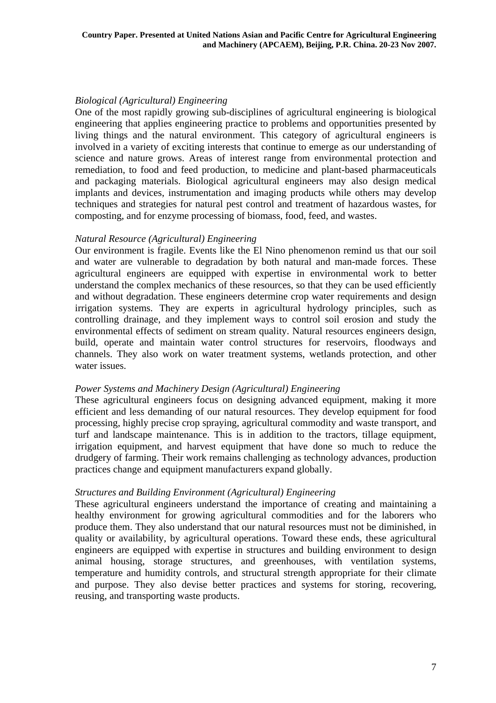## *Biological (Agricultural) Engineering*

One of the most rapidly growing sub-disciplines of agricultural engineering is biological engineering that applies engineering practice to problems and opportunities presented by living things and the natural environment. This category of agricultural engineers is involved in a variety of exciting interests that continue to emerge as our understanding of science and nature grows. Areas of interest range from environmental protection and remediation, to food and feed production, to medicine and plant-based pharmaceuticals and packaging materials. Biological agricultural engineers may also design medical implants and devices, instrumentation and imaging products while others may develop techniques and strategies for natural pest control and treatment of hazardous wastes, for composting, and for enzyme processing of biomass, food, feed, and wastes.

## *Natural Resource (Agricultural) Engineering*

Our environment is fragile. Events like the El Nino phenomenon remind us that our soil and water are vulnerable to degradation by both natural and man-made forces. These agricultural engineers are equipped with expertise in environmental work to better understand the complex mechanics of these resources, so that they can be used efficiently and without degradation. These engineers determine crop water requirements and design irrigation systems. They are experts in agricultural hydrology principles, such as controlling drainage, and they implement ways to control soil erosion and study the environmental effects of sediment on stream quality. Natural resources engineers design, build, operate and maintain water control structures for reservoirs, floodways and channels. They also work on water treatment systems, wetlands protection, and other water issues.

### *Power Systems and Machinery Design (Agricultural) Engineering*

These agricultural engineers focus on designing advanced equipment, making it more efficient and less demanding of our natural resources. They develop equipment for food processing, highly precise crop spraying, agricultural commodity and waste transport, and turf and landscape maintenance. This is in addition to the tractors, tillage equipment, irrigation equipment, and harvest equipment that have done so much to reduce the drudgery of farming. Their work remains challenging as technology advances, production practices change and equipment manufacturers expand globally.

### *Structures and Building Environment (Agricultural) Engineering*

These agricultural engineers understand the importance of creating and maintaining a healthy environment for growing agricultural commodities and for the laborers who produce them. They also understand that our natural resources must not be diminished, in quality or availability, by agricultural operations. Toward these ends, these agricultural engineers are equipped with expertise in structures and building environment to design animal housing, storage structures, and greenhouses, with ventilation systems, temperature and humidity controls, and structural strength appropriate for their climate and purpose. They also devise better practices and systems for storing, recovering, reusing, and transporting waste products.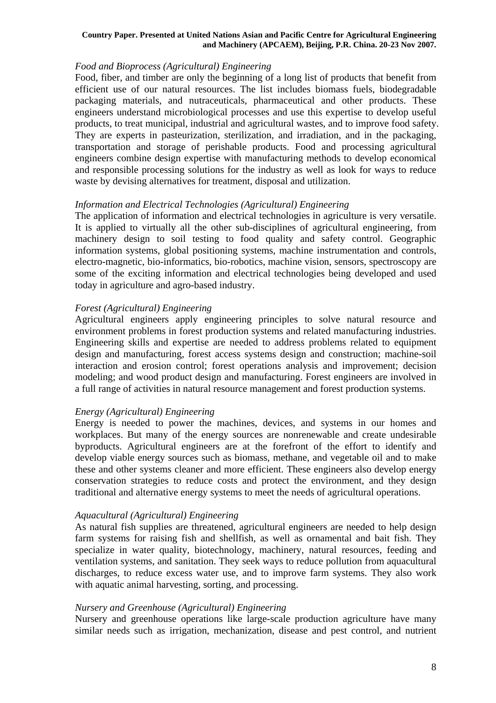### *Food and Bioprocess (Agricultural) Engineering*

Food, fiber, and timber are only the beginning of a long list of products that benefit from efficient use of our natural resources. The list includes biomass fuels, biodegradable packaging materials, and nutraceuticals, pharmaceutical and other products. These engineers understand microbiological processes and use this expertise to develop useful products, to treat municipal, industrial and agricultural wastes, and to improve food safety. They are experts in pasteurization, sterilization, and irradiation, and in the packaging, transportation and storage of perishable products. Food and processing agricultural engineers combine design expertise with manufacturing methods to develop economical and responsible processing solutions for the industry as well as look for ways to reduce waste by devising alternatives for treatment, disposal and utilization.

### *Information and Electrical Technologies (Agricultural) Engineering*

The application of information and electrical technologies in agriculture is very versatile. It is applied to virtually all the other sub-disciplines of agricultural engineering, from machinery design to soil testing to food quality and safety control. Geographic information systems, global positioning systems, machine instrumentation and controls, electro-magnetic, bio-informatics, bio-robotics, machine vision, sensors, spectroscopy are some of the exciting information and electrical technologies being developed and used today in agriculture and agro-based industry.

## *Forest (Agricultural) Engineering*

Agricultural engineers apply engineering principles to solve natural resource and environment problems in forest production systems and related manufacturing industries. Engineering skills and expertise are needed to address problems related to equipment design and manufacturing, forest access systems design and construction; machine-soil interaction and erosion control; forest operations analysis and improvement; decision modeling; and wood product design and manufacturing. Forest engineers are involved in a full range of activities in natural resource management and forest production systems.

## *Energy (Agricultural) Engineering*

Energy is needed to power the machines, devices, and systems in our homes and workplaces. But many of the energy sources are nonrenewable and create undesirable byproducts. Agricultural engineers are at the forefront of the effort to identify and develop viable energy sources such as biomass, methane, and vegetable oil and to make these and other systems cleaner and more efficient. These engineers also develop energy conservation strategies to reduce costs and protect the environment, and they design traditional and alternative energy systems to meet the needs of agricultural operations.

## *Aquacultural (Agricultural) Engineering*

As natural fish supplies are threatened, agricultural engineers are needed to help design farm systems for raising fish and shellfish, as well as ornamental and bait fish. They specialize in water quality, biotechnology, machinery, natural resources, feeding and ventilation systems, and sanitation. They seek ways to reduce pollution from aquacultural discharges, to reduce excess water use, and to improve farm systems. They also work with aquatic animal harvesting, sorting, and processing.

### *Nursery and Greenhouse (Agricultural) Engineering*

Nursery and greenhouse operations like large-scale production agriculture have many similar needs such as irrigation, mechanization, disease and pest control, and nutrient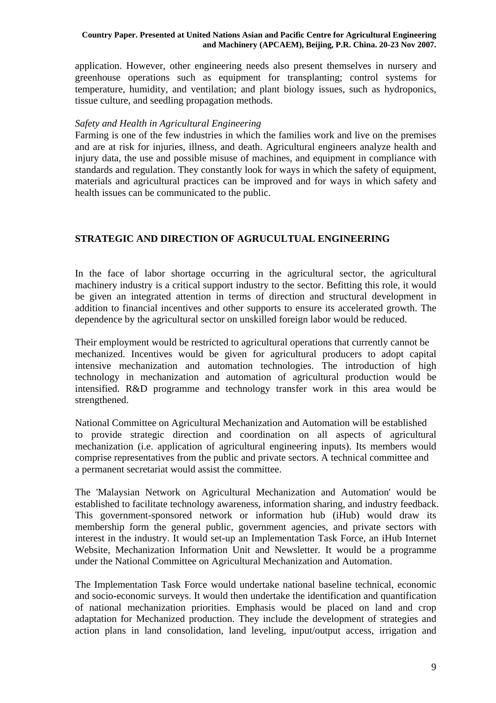application. However, other engineering needs also present themselves in nursery and greenhouse operations such as equipment for transplanting; control systems for temperature, humidity, and ventilation; and plant biology issues, such as hydroponics, tissue culture, and seedling propagation methods.

### *Safety and Health in Agricultural Engineering*

Farming is one of the few industries in which the families work and live on the premises and are at risk for injuries, illness, and death. Agricultural engineers analyze health and injury data, the use and possible misuse of machines, and equipment in compliance with standards and regulation. They constantly look for ways in which the safety of equipment, materials and agricultural practices can be improved and for ways in which safety and health issues can be communicated to the public.

# **STRATEGIC AND DIRECTION OF AGRUCULTUAL ENGINEERING**

In the face of labor shortage occurring in the agricultural sector, the agricultural machinery industry is a critical support industry to the sector. Befitting this role, it would be given an integrated attention in terms of direction and structural development in addition to financial incentives and other supports to ensure its accelerated growth. The dependence by the agricultural sector on unskilled foreign labor would be reduced.

Their employment would be restricted to agricultural operations that currently cannot be mechanized. Incentives would be given for agricultural producers to adopt capital intensive mechanization and automation technologies. The introduction of high technology in mechanization and automation of agricultural production would be intensified. R&D programme and technology transfer work in this area would be strengthened.

National Committee on Agricultural Mechanization and Automation will be established to provide strategic direction and coordination on all aspects of agricultural mechanization (i.e. application of agricultural engineering inputs). Its members would comprise representatives from the public and private sectors. A technical committee and a permanent secretariat would assist the committee.

The 'Malaysian Network on Agricultural Mechanization and Automation' would be established to facilitate technology awareness, information sharing, and industry feedback. This government-sponsored network or information hub (iHub) would draw its membership form the general public, government agencies, and private sectors with interest in the industry. It would set-up an Implementation Task Force, an iHub Internet Website, Mechanization Information Unit and Newsletter. It would be a programme under the National Committee on Agricultural Mechanization and Automation.

The Implementation Task Force would undertake national baseline technical, economic and socio-economic surveys. It would then undertake the identification and quantification of national mechanization priorities. Emphasis would be placed on land and crop adaptation for Mechanized production. They include the development of strategies and action plans in land consolidation, land leveling, input/output access, irrigation and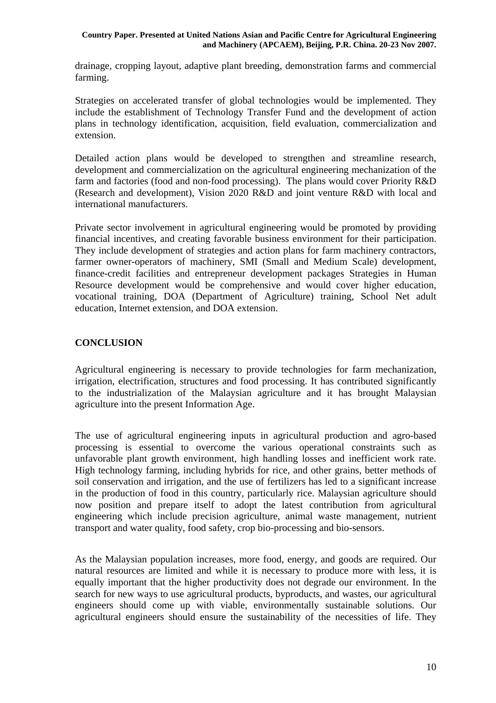drainage, cropping layout, adaptive plant breeding, demonstration farms and commercial farming.

Strategies on accelerated transfer of global technologies would be implemented. They include the establishment of Technology Transfer Fund and the development of action plans in technology identification, acquisition, field evaluation, commercialization and extension.

Detailed action plans would be developed to strengthen and streamline research, development and commercialization on the agricultural engineering mechanization of the farm and factories (food and non-food processing). The plans would cover Priority R&D (Research and development), Vision 2020 R&D and joint venture R&D with local and international manufacturers.

Private sector involvement in agricultural engineering would be promoted by providing financial incentives, and creating favorable business environment for their participation. They include development of strategies and action plans for farm machinery contractors, farmer owner-operators of machinery, SMI (Small and Medium Scale) development, finance-credit facilities and entrepreneur development packages Strategies in Human Resource development would be comprehensive and would cover higher education, vocational training, DOA (Department of Agriculture) training, School Net adult education, Internet extension, and DOA extension.

## **CONCLUSION**

Agricultural engineering is necessary to provide technologies for farm mechanization, irrigation, electrification, structures and food processing. It has contributed significantly to the industrialization of the Malaysian agriculture and it has brought Malaysian agriculture into the present Information Age.

The use of agricultural engineering inputs in agricultural production and agro-based processing is essential to overcome the various operational constraints such as unfavorable plant growth environment, high handling losses and inefficient work rate. High technology farming, including hybrids for rice, and other grains, better methods of soil conservation and irrigation, and the use of fertilizers has led to a significant increase in the production of food in this country, particularly rice. Malaysian agriculture should now position and prepare itself to adopt the latest contribution from agricultural engineering which include precision agriculture, animal waste management, nutrient transport and water quality, food safety, crop bio-processing and bio-sensors.

As the Malaysian population increases, more food, energy, and goods are required. Our natural resources are limited and while it is necessary to produce more with less, it is equally important that the higher productivity does not degrade our environment. In the search for new ways to use agricultural products, byproducts, and wastes, our agricultural engineers should come up with viable, environmentally sustainable solutions. Our agricultural engineers should ensure the sustainability of the necessities of life. They